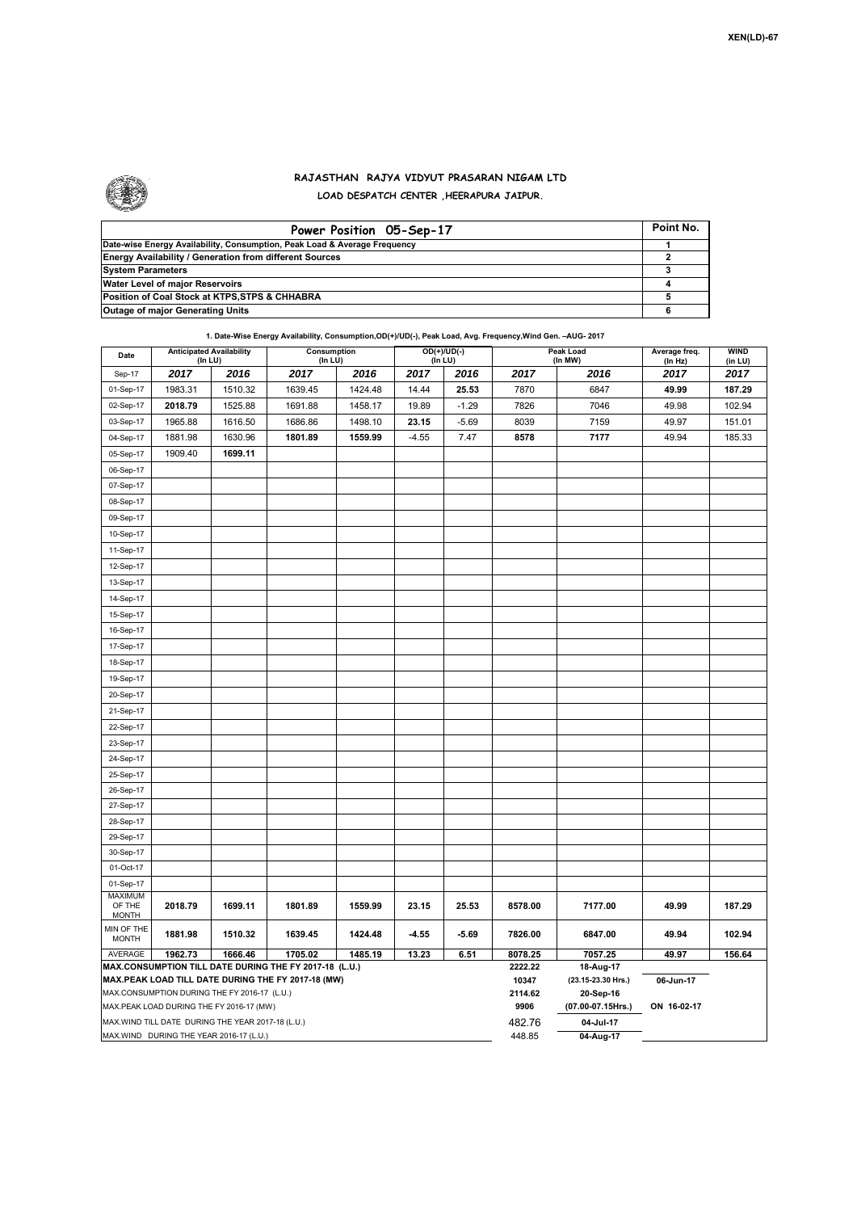

## **RAJASTHAN RAJYA VIDYUT PRASARAN NIGAM LTD LOAD DESPATCH CENTER ,HEERAPURA JAIPUR.**

| Power Position 05-Sep-17                                                  | Point No. |
|---------------------------------------------------------------------------|-----------|
| Date-wise Energy Availability, Consumption, Peak Load & Average Frequency |           |
| <b>Energy Availability / Generation from different Sources</b>            |           |
| <b>System Parameters</b>                                                  |           |
| Water Level of major Reservoirs                                           |           |
| Position of Coal Stock at KTPS, STPS & CHHABRA                            |           |
| <b>Outage of major Generating Units</b>                                   |           |

| Date                                                                                               | <b>Anticipated Availability</b><br>(In LU)         |         | 1. Date-wise Energy Availability, Consumption,OD(+)/OD(-), Peak Load, Avg. Frequency,wind Gen. –AUG- 2017 -<br>Consumption<br>(In LU) |         |         | $OD(+)/UD(-)$   |                  | Peak Load<br>(In MW)                         | Average freq.   | <b>WIND</b><br>(in LU) |  |
|----------------------------------------------------------------------------------------------------|----------------------------------------------------|---------|---------------------------------------------------------------------------------------------------------------------------------------|---------|---------|-----------------|------------------|----------------------------------------------|-----------------|------------------------|--|
| Sep-17                                                                                             | 2017                                               | 2016    | 2017                                                                                                                                  | 2016    | 2017    | (In LU)<br>2016 | 2017             | 2016                                         | (In Hz)<br>2017 | 2017                   |  |
| 01-Sep-17                                                                                          | 1983.31                                            | 1510.32 | 1639.45                                                                                                                               | 1424.48 | 14.44   | 25.53           | 7870             | 6847                                         | 49.99           | 187.29                 |  |
| 02-Sep-17                                                                                          | 2018.79                                            | 1525.88 | 1691.88                                                                                                                               | 1458.17 | 19.89   | $-1.29$         | 7826             | 7046                                         | 49.98           | 102.94                 |  |
| 03-Sep-17                                                                                          | 1965.88                                            | 1616.50 | 1686.86                                                                                                                               | 1498.10 | 23.15   | $-5.69$         | 8039             | 7159                                         | 49.97           | 151.01                 |  |
| 04-Sep-17                                                                                          | 1881.98                                            | 1630.96 | 1801.89                                                                                                                               | 1559.99 | $-4.55$ | 7.47            | 8578             | 7177                                         | 49.94           | 185.33                 |  |
| 05-Sep-17                                                                                          | 1909.40                                            | 1699.11 |                                                                                                                                       |         |         |                 |                  |                                              |                 |                        |  |
| 06-Sep-17                                                                                          |                                                    |         |                                                                                                                                       |         |         |                 |                  |                                              |                 |                        |  |
| 07-Sep-17                                                                                          |                                                    |         |                                                                                                                                       |         |         |                 |                  |                                              |                 |                        |  |
|                                                                                                    |                                                    |         |                                                                                                                                       |         |         |                 |                  |                                              |                 |                        |  |
| 08-Sep-17<br>09-Sep-17                                                                             |                                                    |         |                                                                                                                                       |         |         |                 |                  |                                              |                 |                        |  |
|                                                                                                    |                                                    |         |                                                                                                                                       |         |         |                 |                  |                                              |                 |                        |  |
| 10-Sep-17                                                                                          |                                                    |         |                                                                                                                                       |         |         |                 |                  |                                              |                 |                        |  |
| 11-Sep-17                                                                                          |                                                    |         |                                                                                                                                       |         |         |                 |                  |                                              |                 |                        |  |
| 12-Sep-17                                                                                          |                                                    |         |                                                                                                                                       |         |         |                 |                  |                                              |                 |                        |  |
| 13-Sep-17                                                                                          |                                                    |         |                                                                                                                                       |         |         |                 |                  |                                              |                 |                        |  |
| 14-Sep-17                                                                                          |                                                    |         |                                                                                                                                       |         |         |                 |                  |                                              |                 |                        |  |
| 15-Sep-17                                                                                          |                                                    |         |                                                                                                                                       |         |         |                 |                  |                                              |                 |                        |  |
| 16-Sep-17                                                                                          |                                                    |         |                                                                                                                                       |         |         |                 |                  |                                              |                 |                        |  |
| 17-Sep-17                                                                                          |                                                    |         |                                                                                                                                       |         |         |                 |                  |                                              |                 |                        |  |
| 18-Sep-17                                                                                          |                                                    |         |                                                                                                                                       |         |         |                 |                  |                                              |                 |                        |  |
| 19-Sep-17                                                                                          |                                                    |         |                                                                                                                                       |         |         |                 |                  |                                              |                 |                        |  |
| 20-Sep-17                                                                                          |                                                    |         |                                                                                                                                       |         |         |                 |                  |                                              |                 |                        |  |
| 21-Sep-17                                                                                          |                                                    |         |                                                                                                                                       |         |         |                 |                  |                                              |                 |                        |  |
| 22-Sep-17                                                                                          |                                                    |         |                                                                                                                                       |         |         |                 |                  |                                              |                 |                        |  |
| 23-Sep-17                                                                                          |                                                    |         |                                                                                                                                       |         |         |                 |                  |                                              |                 |                        |  |
| 24-Sep-17                                                                                          |                                                    |         |                                                                                                                                       |         |         |                 |                  |                                              |                 |                        |  |
| 25-Sep-17                                                                                          |                                                    |         |                                                                                                                                       |         |         |                 |                  |                                              |                 |                        |  |
| 26-Sep-17                                                                                          |                                                    |         |                                                                                                                                       |         |         |                 |                  |                                              |                 |                        |  |
| 27-Sep-17                                                                                          |                                                    |         |                                                                                                                                       |         |         |                 |                  |                                              |                 |                        |  |
| 28-Sep-17                                                                                          |                                                    |         |                                                                                                                                       |         |         |                 |                  |                                              |                 |                        |  |
| 29-Sep-17                                                                                          |                                                    |         |                                                                                                                                       |         |         |                 |                  |                                              |                 |                        |  |
| 30-Sep-17                                                                                          |                                                    |         |                                                                                                                                       |         |         |                 |                  |                                              |                 |                        |  |
| 01-Oct-17                                                                                          |                                                    |         |                                                                                                                                       |         |         |                 |                  |                                              |                 |                        |  |
| 01-Sep-17                                                                                          |                                                    |         |                                                                                                                                       |         |         |                 |                  |                                              |                 |                        |  |
| <b>MAXIMUM</b><br>OF THE                                                                           | 2018.79                                            | 1699.11 | 1801.89                                                                                                                               | 1559.99 | 23.15   | 25.53           | 8578.00          | 7177.00                                      | 49.99           | 187.29                 |  |
| <b>MONTH</b>                                                                                       |                                                    |         |                                                                                                                                       |         |         |                 |                  |                                              |                 |                        |  |
| MIN OF THE<br><b>MONTH</b>                                                                         | 1881.98                                            | 1510.32 | 1639.45                                                                                                                               | 1424.48 | $-4.55$ | $-5.69$         | 7826.00          | 6847.00                                      | 49.94           | 102.94                 |  |
| AVERAGE                                                                                            | 1962.73                                            | 1666.46 | 1705.02                                                                                                                               | 1485.19 | 13.23   | 6.51            | 8078.25          | 7057.25                                      | 49.97           | 156.64                 |  |
|                                                                                                    |                                                    |         | MAX.CONSUMPTION TILL DATE DURING THE FY 2017-18 (L.U.)                                                                                |         |         |                 | 2222.22<br>10347 | 18-Aug-17                                    |                 |                        |  |
| MAX.PEAK LOAD TILL DATE DURING THE FY 2017-18 (MW)<br>MAX.CONSUMPTION DURING THE FY 2016-17 (L.U.) |                                                    |         |                                                                                                                                       |         |         |                 |                  | (23.15-23.30 Hrs.)<br>06-Jun-17<br>20-Sep-16 |                 |                        |  |
|                                                                                                    | MAX.PEAK LOAD DURING THE FY 2016-17 (MW)           |         |                                                                                                                                       |         |         |                 | 2114.62<br>9906  | (07.00-07.15Hrs.)                            | ON 16-02-17     |                        |  |
|                                                                                                    | MAX. WIND TILL DATE DURING THE YEAR 2017-18 (L.U.) |         |                                                                                                                                       |         |         |                 | 482.76           | 04-Jul-17                                    |                 |                        |  |
| MAX.WIND DURING THE YEAR 2016-17 (L.U.)                                                            |                                                    |         |                                                                                                                                       |         |         |                 |                  | 04-Aug-17                                    |                 |                        |  |

**1. Date-Wise Energy Availability, Consumption,OD(+)/UD(-), Peak Load, Avg. Frequency,Wind Gen. –AUG- 2017**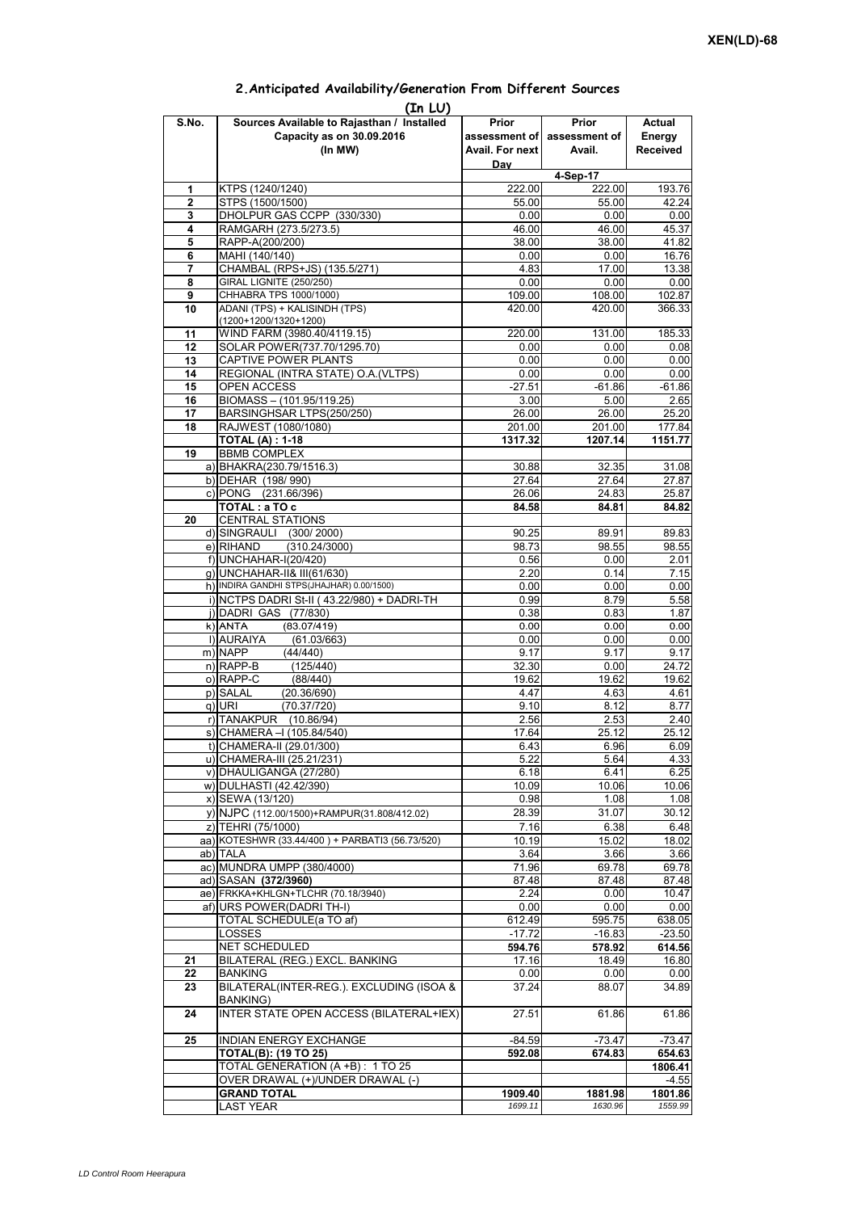## **Prior assessment of Avail. For next Day Prior assessment of Avail. Actual Energy Received 1** KTPS (1240/1240) 222.00 222.00 193.76 **2** STPS (1500/1500)<br> **3** DHOLPUR GAS CCPP (330/330) **120.00** 55.00 **55.00** 55.00 42.24 **3** DHOLPUR GAS CCPP (330/330) **4** RAMGARH (273.5/273.5) 46.00 46.00 46.00 45.37<br> **5** RAPP-A(200/200) 41.82 **5** RAPP-A(200/200) **38.00** 38.00 **6** MAHI (140/140) **38.00 6** MAHI (140/140) **16.76** MAHI (140/140) **16.76 7** CHAMBAL (RPS+JS) (135.5/271) 4.83 17.00 13.38 **8** GIRAL LIGNITE (250/250) **0.00** 0.00 0.00 0.00 0.00<br>**9** CHHABRA TPS 1000/1000) 0.00 109.00 108.00 102.87 **9** CHHABRA TPS 1000/1000) **10** ADANI (TPS) + KALISINDH (TPS) (1200+1200/1320+1200) 420.00 420.00 366.33 11 | WIND FARM (3980.40/4119.15)  $\qquad$  220.00 131.00 185.33 12 SOLAR POWER(737.70/1295.70) 0.00 0.00 0.00 0.08 **13** CAPTIVE POWER PLANTS 0.00 0.00 0.00 0.00 **14** REGIONAL (INTRA STATE) O.A.(VLTPS) 0.00 0.00 0.00 0.00 0.00 15 OPEN ACCESS -27.51 -61.86 -61.86<br>16 BIOMASS – (101.95/119.25) -27.51 -61.86 -61.86 -61.86 **BIOMASS – (101.95/119.25) 17** BARSINGHSAR LTPS(250/250) 26.00 26.00 25.20 18 RAJWEST (1080/1080) 201.00 201.00 201.00 177.84<br>TOTAL (A) : 1-18 1317.32 1207.14 1151.77 **TOTAL (A) : 1-18 1317.32 1207.14 19** BBMB COMPLEX a) BHAKRA(230.79/1516.3) 30.88 32.35 31.08<br>b) DFHAR (198/990) 32.35 32.35 32.35 32.35 32.35 32.35 32.35 32.35 32.35 32.35 32.35 32.35 32.35 32.37 32 b) DEHAR (198/ 990) c) PONG (231.66/396) 26.06 24.83 25.87 **TOTAL : a TO c** 84.58 84.81 84.82 **20** CENTRAL STATIONS d) SINGRAULI (300/ 2000) 90.25 89.91 89.83  $(310.24/3000)$ f) UNCHAHAR-I(20/420) 0.56 0.00 2.01 g) UNCHAHAR-II& III(61/630) 2.20 0.14 h) INDIRA GANDHI STPS(JHAJHAR) 0.00/1500) 0.00 0.00 0.00 0.00 0.00 0.00 i)  $NCTPS$  DADRI St-II ( 43.22/980) + DADRI-TH  $\vert$  0.99 8.79 8.79 8.58 j) DADRI GAS (77/830) 0.38 0.83 1.87 k) ANTA (83 07/419) 0 00 0 00 0 00 **(In LU) S.No. Sources Available to Rajasthan / Installed Capacity as on 30.09.2016 (In MW) 4-Sep-17** ANTA (83.07/419)0.000.000.00l) AURAIYA (61.03/663) 0.00 0.00 0.00 m) NAPP (44/440) 9.17 9.17 9.17 n) RAPP-B (125/440) 32.30 0.00 24.72 o) RAPP-C (88/440) 19.62 19.62 19.62 p) SALAL (20.36/690) 4.47 4.63 4.61 q) URI (70.37/720) 9.10 8.12 8.77 r) TANAKPUR (10.86/94) 2.56 2.56 2.53 2.40<br>s) CHAMERA – (105.84/540) 17.64 25.12 25.12  $\overline{s}$ ) CHAMERA –I (105.84/540) t) CHAMERA-II (29.01/300) 6.43 6.96 6.09 u) CHAMERA-III (25.21/231)  $\qquad \qquad$  5.22 5.64 4.33 v) DHAULIGANGA (27/280) 6.18 6.41 6.25 w) DULHASTI (42.42/390) 10.09 10.09 10.06 10.06 10.06 x) SEWA (13/120)  $\begin{array}{|l|l|l|l|l|l|}\n \hline\n x & 0.98 & 1.08 & 1.08 \\
 \hline\n y & 31.07 & 30.12 & 30.12\n \end{array}$ y) NJPC (112.00/1500)+RAMPUR(31.808/412.02) 28.39 31.07 30.12 z) TEHRI (75/1000) 7.16 6.38 6.48<br>a) KOTESHWR (33.44/400 ) + PARBATI3 (56.73/520) 10.19 15.02 18.02 aa) KOTESHWR (33.44/400) + PARBATI3 (56.73/520) ab) TALA 3.64 3.66 3.66 ac) MUNDRA UMPP (380/4000)  $\overline{69.78}$  69.78 69.78 ad) SASAN **(372/3960)** 87.48 87.48 87.48 87.48 87.48 87.48 87.48 87.48 87.48 87.48 87.48 87.48 87.48 87.48 87.48 87.48 87.48 87.48 87.48 87.48 87.48 87.48 87.48 87.48 87.48 8 ae) FRKKA+KHLGN+TLCHR (70.18/3940) 2.24 0.00 af) URS POWER(DADRI TH-I) 2000 0.00 0.00 0.00 TOTAL SCHEDULE(a TO af) 612.49 595.75 638.05 LOSSES -17.72 -16.83 -23.50 NET SCHEDULED **594.76 578.92 614.56 21** BILATERAL (REG.) EXCL. BANKING 17.16 17.16 18.49 16.80 **22** BANKING 0.00 0.00 0.00 **23** BILATERAL(INTER-REG.). EXCLUDING (ISOA & BANKING) 37.24 88.07 34.89 **24** INTER STATE OPEN ACCESS (BILATERAL+IEX) 27.51 61.86 61.86 **25 INDIAN ENERGY EXCHANGE -84.59 -73.47 -73.47 TOTAL(B): (19 TO 25) 592.08 674.83 654.63** TOTAL GENERATION (A +B) : 1 TO 25 **1806.41**<br>
OVER DRAWAL (+)/UNDER DRAWAL (-) 4.55 OVER DRAWAL (+)/UNDER DRAWAL (-) **GRAND TOTAL 1909.40 1909.40** 1881.98 1801.86 **LAST YEAR** 1659.99 16 1699.11 1699.11 1630.96 1559.99

## **2.Anticipated Availability/Generation From Different Sources**